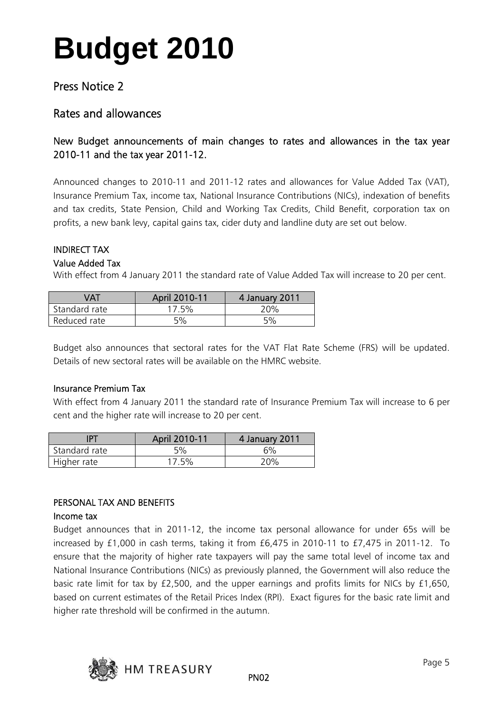## Press Notice 2

### Rates and allowances

### New Budget announcements of main changes to rates and allowances in the tax year 2010-11 and the tax year 2011-12.

Announced changes to 2010-11 and 2011-12 rates and allowances for Value Added Tax (VAT), Insurance Premium Tax, income tax, National Insurance Contributions (NICs), indexation of benefits and tax credits, State Pension, Child and Working Tax Credits, Child Benefit, corporation tax on profits, a new bank levy, capital gains tax, cider duty and landline duty are set out below.

#### INDIRECT TAX

#### Value Added Tax

With effect from 4 January 2011 the standard rate of Value Added Tax will increase to 20 per cent.

| VAT           | April 2010-11 | 4 January 2011 |
|---------------|---------------|----------------|
| Standard rate | $17.5\%$      | 20%            |
| Reduced rate  | 5%            | 5%             |

Budget also announces that sectoral rates for the VAT Flat Rate Scheme (FRS) will be updated. Details of new sectoral rates will be available on the HMRC website.

#### Insurance Premium Tax

With effect from 4 January 2011 the standard rate of Insurance Premium Tax will increase to 6 per cent and the higher rate will increase to 20 per cent.

|               | April 2010-11 | 4 January 2011 |
|---------------|---------------|----------------|
| Standard rate | 5%            | 6%             |
| Higher rate   | $17.5\%$      | ንበ%            |

### PERSONAL TAX AND BENEFITS

#### Income tax

Budget announces that in 2011-12, the income tax personal allowance for under 65s will be increased by £1,000 in cash terms, taking it from £6,475 in 2010-11 to £7,475 in 2011-12. To ensure that the majority of higher rate taxpayers will pay the same total level of income tax and National Insurance Contributions (NICs) as previously planned, the Government will also reduce the basic rate limit for tax by £2,500, and the upper earnings and profits limits for NICs by £1,650, based on current estimates of the Retail Prices Index (RPI). Exact figures for the basic rate limit and higher rate threshold will be confirmed in the autumn.

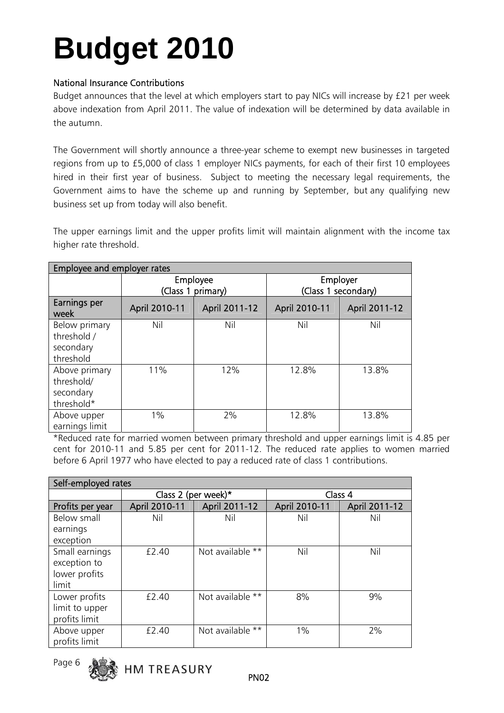### National Insurance Contributions

Budget announces that the level at which employers start to pay NICs will increase by £21 per week above indexation from April 2011. The value of indexation will be determined by data available in the autumn.

The Government will shortly announce a three-year scheme to exempt new businesses in targeted regions from up to £5,000 of class 1 employer NICs payments, for each of their first 10 employees hired in their first year of business. Subject to meeting the necessary legal requirements, the Government aims to have the scheme up and running by September, but any qualifying new business set up from today will also benefit.

The upper earnings limit and the upper profits limit will maintain alignment with the income tax higher rate threshold.

| Employee and employer rates                            |                               |               |                                 |               |
|--------------------------------------------------------|-------------------------------|---------------|---------------------------------|---------------|
|                                                        | Employee<br>(Class 1 primary) |               | Employer<br>(Class 1 secondary) |               |
| Earnings per<br>week                                   | April 2010-11                 | April 2011-12 | April 2010-11                   | April 2011-12 |
| Below primary<br>threshold /<br>secondary<br>threshold | Nil                           | Nil           | Nil                             | Nil           |
| Above primary<br>threshold/<br>secondary<br>threshold* | 11%                           | 12%           | 12.8%                           | 13.8%         |
| Above upper<br>earnings limit                          | $1\%$                         | 2%            | 12.8%                           | 13.8%         |

\*Reduced rate for married women between primary threshold and upper earnings limit is 4.85 per cent for 2010-11 and 5.85 per cent for 2011-12. The reduced rate applies to women married before 6 April 1977 who have elected to pay a reduced rate of class 1 contributions.

| Self-employed rates |                     |                  |               |               |
|---------------------|---------------------|------------------|---------------|---------------|
|                     | Class 2 (per week)* |                  | Class 4       |               |
| Profits per year    | April 2010-11       | April 2011-12    | April 2010-11 | April 2011-12 |
| Below small         | Nil                 | Nil              | Nil           | Nil           |
| earnings            |                     |                  |               |               |
| exception           |                     |                  |               |               |
| Small earnings      | £2.40               | Not available ** | Nil           | Nil           |
| exception to        |                     |                  |               |               |
| lower profits       |                     |                  |               |               |
| limit               |                     |                  |               |               |
| Lower profits       | £2.40               | Not available ** | 8%            | 9%            |
| limit to upper      |                     |                  |               |               |
| profits limit       |                     |                  |               |               |
| Above upper         | $f$ 2.40            | Not available ** | $1\%$         | 2%            |
| profits limit       |                     |                  |               |               |



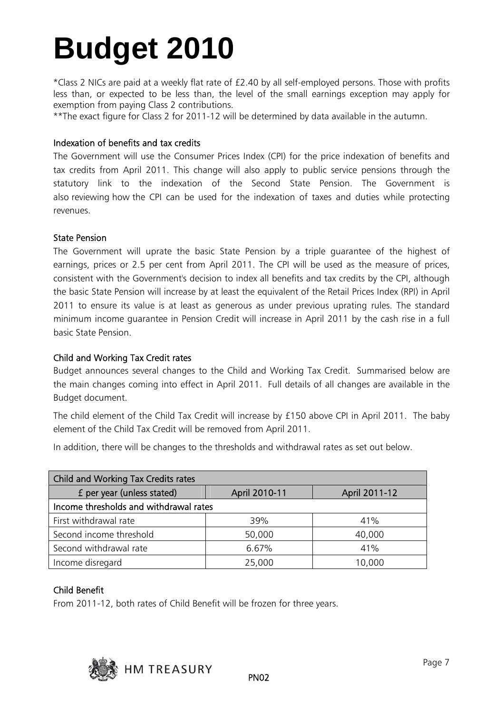\*Class 2 NICs are paid at a weekly flat rate of £2.40 by all self-employed persons. Those with profits less than, or expected to be less than, the level of the small earnings exception may apply for exemption from paying Class 2 contributions.

\*\*The exact figure for Class 2 for 2011-12 will be determined by data available in the autumn.

#### Indexation of benefits and tax credits

The Government will use the Consumer Prices Index (CPI) for the price indexation of benefits and tax credits from April 2011. This change will also apply to public service pensions through the statutory link to the indexation of the Second State Pension. The Government is also reviewing how the CPI can be used for the indexation of taxes and duties while protecting revenues.

#### State Pension

The Government will uprate the basic State Pension by a triple guarantee of the highest of earnings, prices or 2.5 per cent from April 2011. The CPI will be used as the measure of prices, consistent with the Government's decision to index all benefits and tax credits by the CPI, although the basic State Pension will increase by at least the equivalent of the Retail Prices Index (RPI) in April 2011 to ensure its value is at least as generous as under previous uprating rules. The standard minimum income guarantee in Pension Credit will increase in April 2011 by the cash rise in a full basic State Pension.

#### Child and Working Tax Credit rates

Budget announces several changes to the Child and Working Tax Credit. Summarised below are the main changes coming into effect in April 2011. Full details of all changes are available in the Budget document.

The child element of the Child Tax Credit will increase by £150 above CPI in April 2011. The baby element of the Child Tax Credit will be removed from April 2011.

In addition, there will be changes to the thresholds and withdrawal rates as set out below.

| <b>Child and Working Tax Credits rates</b> |               |               |  |  |
|--------------------------------------------|---------------|---------------|--|--|
| f per year (unless stated)                 | April 2010-11 | April 2011-12 |  |  |
| Income thresholds and withdrawal rates     |               |               |  |  |
| First withdrawal rate                      | 39%           | 41%           |  |  |
| Second income threshold                    | 50,000        | 40,000        |  |  |
| Second withdrawal rate                     | 6.67%         | 41%           |  |  |
| Income disregard                           | 25,000        | 10,000        |  |  |

### Child Benefit

From 2011-12, both rates of Child Benefit will be frozen for three years.

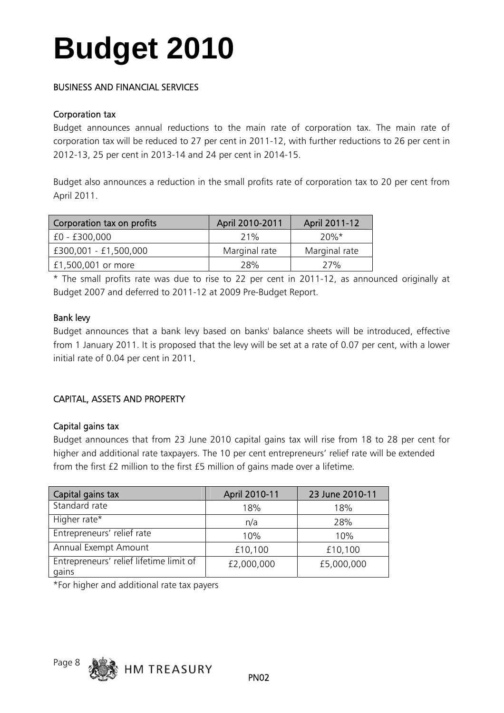### BUSINESS AND FINANCIAL SERVICES

#### Corporation tax

Budget announces annual reductions to the main rate of corporation tax. The main rate of corporation tax will be reduced to 27 per cent in 2011-12, with further reductions to 26 per cent in 2012-13, 25 per cent in 2013-14 and 24 per cent in 2014-15.

Budget also announces a reduction in the small profits rate of corporation tax to 20 per cent from April 2011.

| Corporation tax on profits | April 2010-2011 | April 2011-12 |
|----------------------------|-----------------|---------------|
| £0 - £300,000              | 71%             | $20\%$ *      |
| £300,001 - £1,500,000      | Marginal rate   | Marginal rate |
| £1,500,001 or more         | 28%             | 27%           |

\* The small profits rate was due to rise to 22 per cent in 2011-12, as announced originally at Budget 2007 and deferred to 2011-12 at 2009 Pre-Budget Report.

#### Bank levy

Budget announces that a bank levy based on banks' balance sheets will be introduced, effective from 1 January 2011. It is proposed that the levy will be set at a rate of 0.07 per cent, with a lower initial rate of 0.04 per cent in 2011.

### CAPITAL, ASSETS AND PROPERTY

### Capital gains tax

Budget announces that from 23 June 2010 capital gains tax will rise from 18 to 28 per cent for higher and additional rate taxpayers. The 10 per cent entrepreneurs' relief rate will be extended from the first £2 million to the first £5 million of gains made over a lifetime.

| Capital gains tax                                | April 2010-11 | 23 June 2010-11 |
|--------------------------------------------------|---------------|-----------------|
| Standard rate                                    | 18%           | 18%             |
| Higher rate*                                     | n/a           | 28%             |
| Entrepreneurs' relief rate                       | 10%           | 10%             |
| Annual Exempt Amount                             | £10,100       | £10,100         |
| Entrepreneurs' relief lifetime limit of<br>gains | £2,000,000    | £5,000,000      |

\*For higher and additional rate tax payers